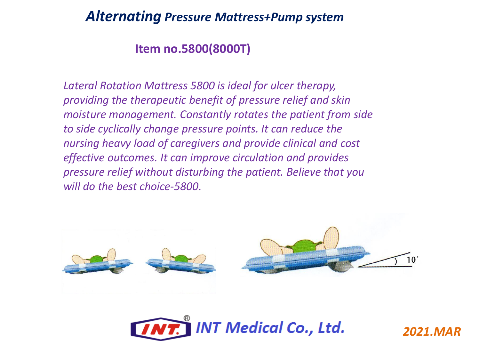### **Item no.5800(8000T)**

*Lateral Rotation Mattress 5800 is ideal for ulcer therapy, providing the therapeutic benefit of pressure relief and skin moisture management. Constantly rotates the patient from side to side cyclically change pressure points. It can reduce the nursing heavy load of caregivers and provide clinical and cost effective outcomes. It can improve circulation and provides pressure relief without disturbing the patient. Believe that you will do the best choice-5800.*



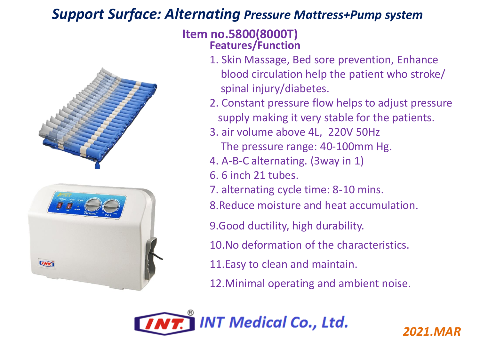## *Support Surface: Alternating Pressure Mattress+Pump system*



#### **Item no.5800(8000T) Features/Function**

- 1. Skin Massage, Bed sore prevention, Enhance blood circulation help the patient who stroke/ spinal injury/diabetes.
- 2. Constant pressure flow helps to adjust pressure supply making it very stable for the patients.
- 3. air volume above 4L, 220V 50Hz
	- The pressure range: 40-100mm Hg.
- 4. A-B-C alternating. (3way in 1)
- 6. 6 inch 21 tubes.
- 7. alternating cycle time: 8-10 mins.
- 8.Reduce moisture and heat accumulation.
- 9.Good ductility, high durability.
- 10.No deformation of the characteristics.
- 11.Easy to clean and maintain.
- 12.Minimal operating and ambient noise.

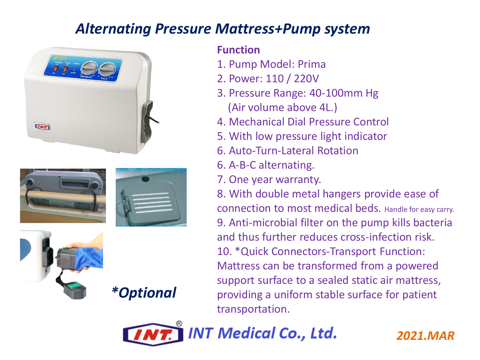







*\*Optional*

### **Function**

- 1. Pump Model: Prima
- 2. Power: 110 / 220V
- 3. Pressure Range: 40-100mm Hg (Air volume above 4L.)
- 4. Mechanical Dial Pressure Control
- 5. With low pressure light indicator
- 6. Auto-Turn-Lateral Rotation
- 6. A-B-C alternating.
- 7. One year warranty.

8. With double metal hangers provide ease of connection to most medical beds. Handle for easy carry. 9. Anti-microbial filter on the pump kills bacteria and thus further reduces cross-infection risk. 10. \*Quick Connectors-Transport Function: Mattress can be transformed from a powered support surface to a sealed static air mattress, providing a uniform stable surface for patient transportation.

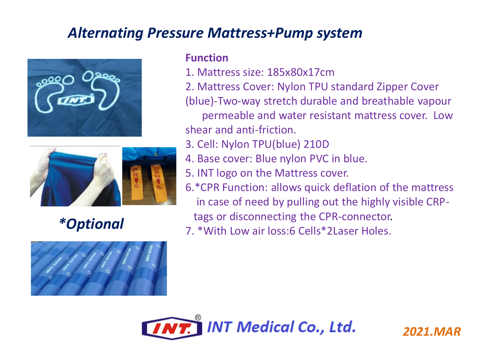





#### **Function**

- 1. Mattress size: 185x80x17cm
- 2. Mattress Cover: Nylon TPU standard Zipper Cover

(blue)-Two-way stretch durable and breathable vapour

permeable and water resistant mattress cover. Low shear and anti-friction.

- 3. Cell: Nylon TPU(blue) 210D
- 4. Base cover: Blue nylon PVC in blue.
- 5. INT logo on the Mattress cover.
- 6.\*CPR Function: allows quick deflation of the mattress in case of need by pulling out the highly visible CRP
	- tags or disconnecting the CPR-connector.
- 7. \*With Low air loss:6 Cells\*2Laser Holes. *\*Optional*